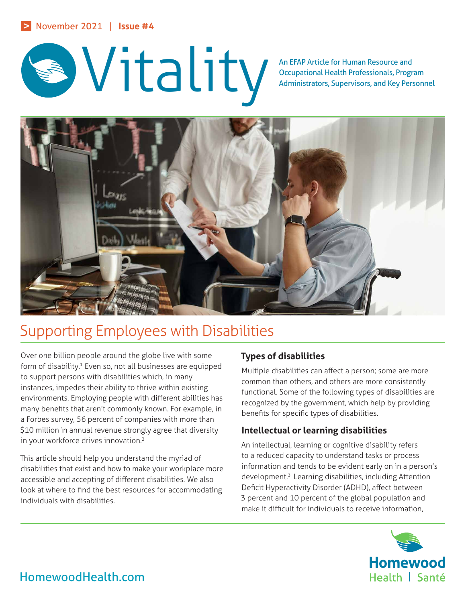

Occupational Health Professionals, Program Administrators, Supervisors, and Key Personnel



# Supporting Employees with Disabilities

Over one billion people around the globe live with some form of disability.<sup>1</sup> Even so, not all businesses are equipped to support persons with disabilities which, in many instances, impedes their ability to thrive within existing environments. Employing people with different abilities has many benefits that aren't commonly known. For example, in a Forbes survey, 56 percent of companies with more than \$10 million in annual revenue strongly agree that diversity in your workforce drives innovation.<sup>2</sup>

This article should help you understand the myriad of disabilities that exist and how to make your workplace more accessible and accepting of different disabilities. We also look at where to find the best resources for accommodating individuals with disabilities.

# **Types of disabilities**

Multiple disabilities can affect a person; some are more common than others, and others are more consistently functional. Some of the following types of disabilities are recognized by the government, which help by providing benefits for specific types of disabilities.

# **Intellectual or learning disabilities**

An intellectual, learning or cognitive disability refers to a reduced capacity to understand tasks or process information and tends to be evident early on in a person's development.3 Learning disabilities, including Attention Deficit Hyperactivity Disorder (ADHD), affect between 3 percent and 10 percent of the global population and make it difficult for individuals to receive information,

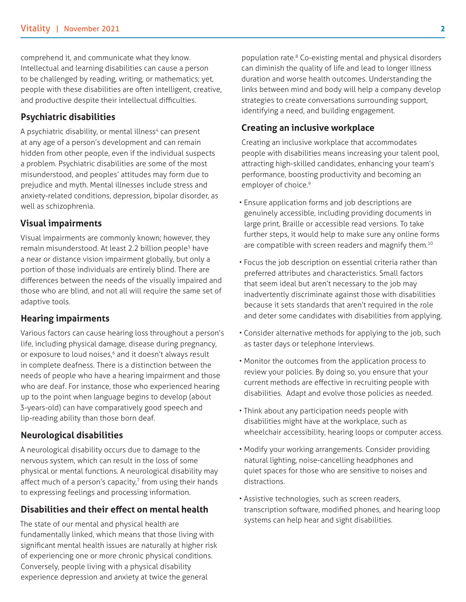comprehend it, and communicate what they know. Intellectual and learning disabilities can cause a person to be challenged by reading, writing, or mathematics; yet, people with these disabilities are often intelligent, creative, and productive despite their intellectual difficulties.

## **Psychiatric disabilities**

A psychiatric disability, or mental illness<sup>4</sup> can present at any age of a person's development and can remain hidden from other people, even if the individual suspects a problem. Psychiatric disabilities are some of the most misunderstood, and peoples' attitudes may form due to prejudice and myth. Mental illnesses include stress and anxiety-related conditions, depression, bipolar disorder, as well as schizophrenia.

#### **Visual impairments**

Visual impairments are commonly known; however, they remain misunderstood. At least 2.2 billion people<sup>5</sup> have a near or distance vision impairment globally, but only a portion of those individuals are entirely blind. There are differences between the needs of the visually impaired and those who are blind, and not all will require the same set of adaptive tools.

#### **Hearing impairments**

Various factors can cause hearing loss throughout a person's life, including physical damage, disease during pregnancy, or exposure to loud noises,<sup>6</sup> and it doesn't always result in complete deafness. There is a distinction between the needs of people who have a hearing impairment and those who are deaf. For instance, those who experienced hearing up to the point when language begins to develop (about 3-years-old) can have comparatively good speech and lip-reading ability than those born deaf.

#### **Neurological disabilities**

A neurological disability occurs due to damage to the nervous system, which can result in the loss of some physical or mental functions. A neurological disability may affect much of a person's capacity, $7$  from using their hands to expressing feelings and processing information.

#### **Disabilities and their effect on mental health**

The state of our mental and physical health are fundamentally linked, which means that those living with significant mental health issues are naturally at higher risk of experiencing one or more chronic physical conditions. Conversely, people living with a physical disability experience depression and anxiety at twice the general

population rate.8 Co-existing mental and physical disorders can diminish the quality of life and lead to longer illness duration and worse health outcomes. Understanding the links between mind and body will help a company develop strategies to create conversations surrounding support, identifying a need, and building engagement.

#### **Creating an inclusive workplace**

Creating an inclusive workplace that accommodates people with disabilities means increasing your talent pool, attracting high-skilled candidates, enhancing your team's performance, boosting productivity and becoming an employer of choice.<sup>9</sup>

- Ensure application forms and job descriptions are genuinely accessible, including providing documents in large print, Braille or accessible read versions. To take further steps, it would help to make sure any online forms are compatible with screen readers and magnify them.<sup>10</sup>
- Focus the job description on essential criteria rather than preferred attributes and characteristics. Small factors that seem ideal but aren't necessary to the job may inadvertently discriminate against those with disabilities because it sets standards that aren't required in the role and deter some candidates with disabilities from applying.
- Consider alternative methods for applying to the job, such as taster days or telephone interviews.
- Monitor the outcomes from the application process to review your policies. By doing so, you ensure that your current methods are effective in recruiting people with disabilities. Adapt and evolve those policies as needed.
- Think about any participation needs people with disabilities might have at the workplace, such as wheelchair accessibility, hearing loops or computer access.
- Modify your working arrangements. Consider providing natural lighting, noise-cancelling headphones and quiet spaces for those who are sensitive to noises and distractions.
- Assistive technologies, such as screen readers, transcription software, modified phones, and hearing loop systems can help hear and sight disabilities.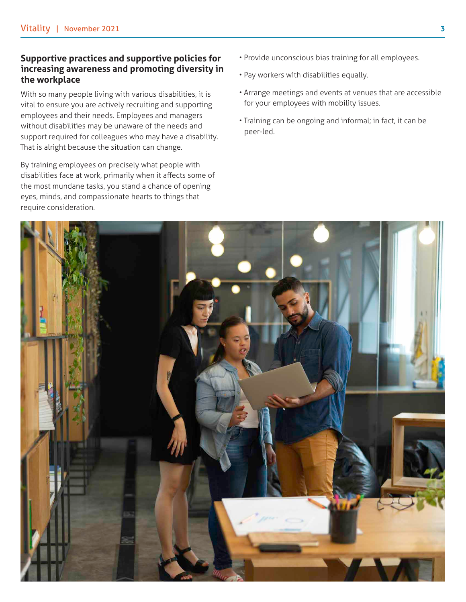### **Supportive practices and supportive policies for increasing awareness and promoting diversity in the workplace**

With so many people living with various disabilities, it is vital to ensure you are actively recruiting and supporting employees and their needs. Employees and managers without disabilities may be unaware of the needs and support required for colleagues who may have a disability. That is alright because the situation can change.

By training employees on precisely what people with disabilities face at work, primarily when it affects some of the most mundane tasks, you stand a chance of opening eyes, minds, and compassionate hearts to things that require consideration.

- Provide unconscious bias training for all employees.
- Pay workers with disabilities equally.
- Arrange meetings and events at venues that are accessible for your employees with mobility issues.
- Training can be ongoing and informal; in fact, it can be peer-led.